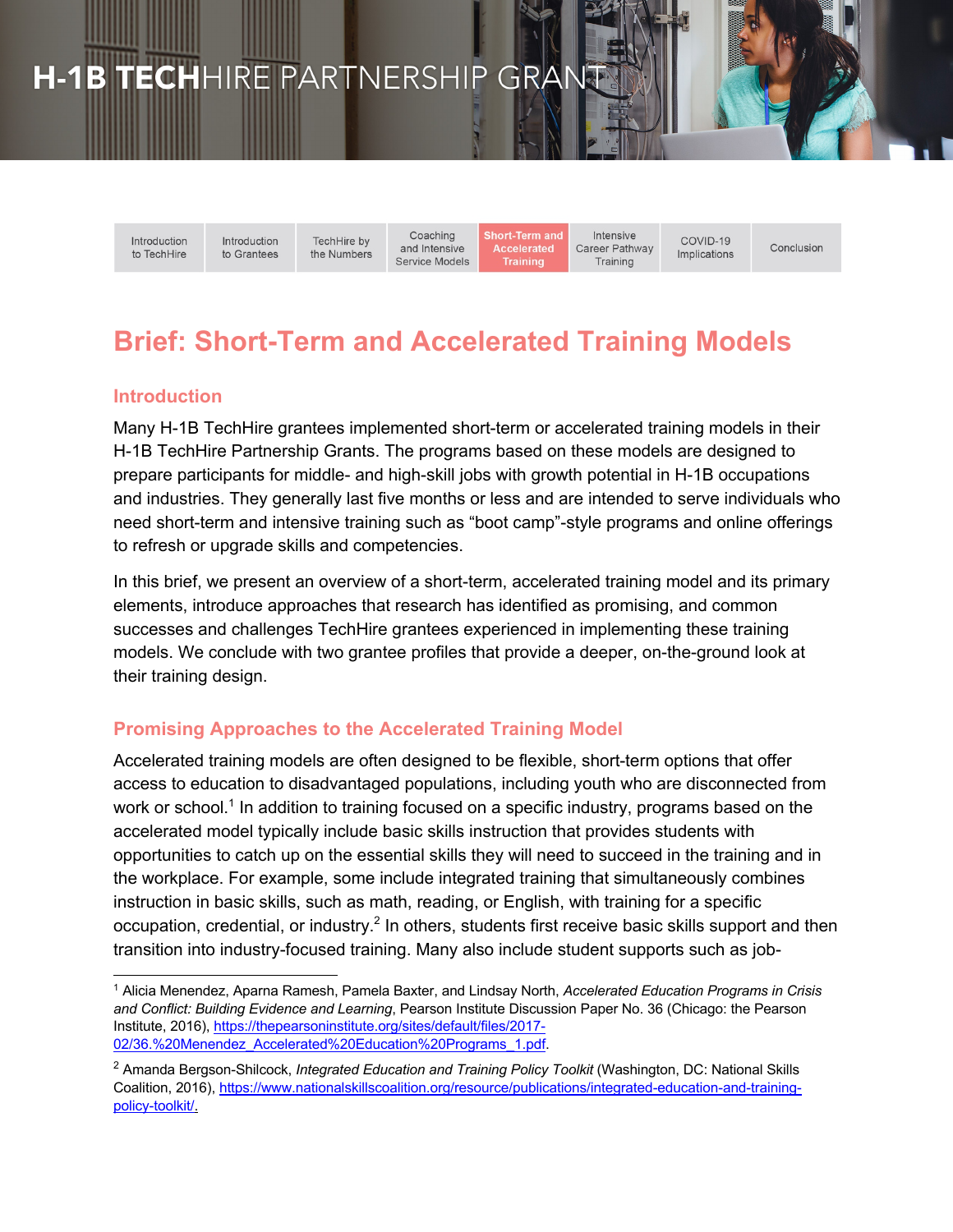# H-1B TECHHIRE PARTNERSHIP GRANT

Introduction to TechHire Introduction TechHire by to Grantees the Numbers

Coaching and Intensive Service Models **Short-Term and Training** 

Intensive Career Pathway Training

Conclusion

COVID-19

Implications

# **Brief: Short-Term and Accelerated Training Models**

#### **Introduction**

Many H-1B TechHire grantees implemented short-term or accelerated training models in their H-1B TechHire Partnership Grants. The programs based on these models are designed to prepare participants for middle- and high-skill jobs with growth potential in H-1B occupations and industries. They generally last five months or less and are intended to serve individuals who need short-term and intensive training such as "boot camp"-style programs and online offerings to refresh or upgrade skills and competencies.

In this brief, we present an overview of a short-term, accelerated training model and its primary elements, introduce approaches that research has identified as promising, and common successes and challenges TechHire grantees experienced in implementing these training models. We conclude with two grantee profiles that provide a deeper, on-the-ground look at their training design.

### **Promising Approaches to the Accelerated Training Model**

Accelerated training models are often designed to be flexible, short-term options that offer access to education to disadvantaged populations, including youth who are disconnected from work or school.<sup>1</sup> In addition to training focused on a specific industry, programs based on the accelerated model typically include basic skills instruction that provides students with opportunities to catch up on the essential skills they will need to succeed in the training and in the workplace. For example, some include integrated training that simultaneously combines instruction in basic skills, such as math, reading, or English, with training for a specific occupation, credential, or industry.<sup>2</sup> In others, students first receive basic skills support and then transition into industry-focused training. Many also include student supports such as job-

<sup>1</sup> Alicia Menendez, Aparna Ramesh, Pamela Baxter, and Lindsay North, *Accelerated Education Programs in Crisis and Conflict: Building Evidence and Learning*, Pearson Institute Discussion Paper No. 36 (Chicago: the Pearson Institute, 2016), https://thepearsoninstitute.org/sites/default/files/2017- 02/36.%20Menendez\_Accelerated%20Education%20Programs\_1.pdf.

<sup>2</sup> Amanda Bergson-Shilcock, *Integrated Education and Training Policy Toolkit* (Washington, DC: National Skills Coalition, 2016), https://www.nationalskillscoalition.org/resource/publications/integrated-education-and-trainingpolicy-toolkit/.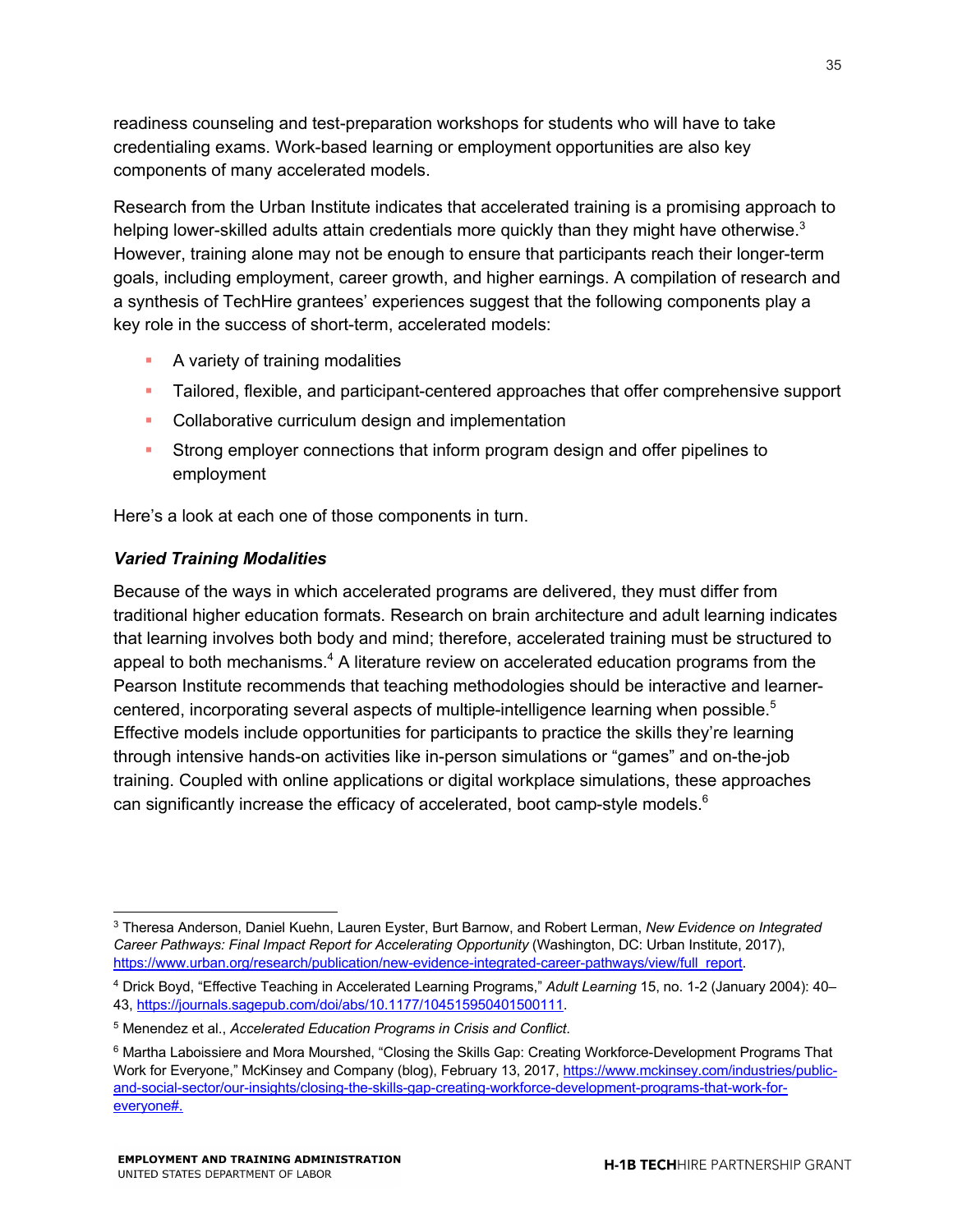readiness counseling and test-preparation workshops for students who will have to take credentialing exams. Work-based learning or employment opportunities are also key components of many accelerated models.

Research from the Urban Institute indicates that accelerated training is a promising approach to helping lower-skilled adults attain credentials more quickly than they might have otherwise.<sup>3</sup> However, training alone may not be enough to ensure that participants reach their longer-term goals, including employment, career growth, and higher earnings. A compilation of research and a synthesis of TechHire grantees' experiences suggest that the following components play a key role in the success of short-term, accelerated models:

- § A variety of training modalities
- Tailored, flexible, and participant-centered approaches that offer comprehensive support
- Collaborative curriculum design and implementation
- Strong employer connections that inform program design and offer pipelines to employment

Here's a look at each one of those components in turn.

#### *Varied Training Modalities*

Because of the ways in which accelerated programs are delivered, they must differ from traditional higher education formats. Research on brain architecture and adult learning indicates that learning involves both body and mind; therefore, accelerated training must be structured to appeal to both mechanisms.<sup>4</sup> A literature review on accelerated education programs from the Pearson Institute recommends that teaching methodologies should be interactive and learnercentered, incorporating several aspects of multiple-intelligence learning when possible.<sup>5</sup> Effective models include opportunities for participants to practice the skills they're learning through intensive hands-on activities like in-person simulations or "games" and on-the-job training. Coupled with online applications or digital workplace simulations, these approaches can significantly increase the efficacy of accelerated, boot camp-style models.<sup>6</sup>

<sup>3</sup> Theresa Anderson, Daniel Kuehn, Lauren Eyster, Burt Barnow, and Robert Lerman, *New Evidence on Integrated Career Pathways: Final Impact Report for Accelerating Opportunity* (Washington, DC: Urban Institute, 2017), https://www.urban.org/research/publication/new-evidence-integrated-career-pathways/view/full\_report.

<sup>4</sup> Drick Boyd, "Effective Teaching in Accelerated Learning Programs," *Adult Learning* 15, no. 1-2 (January 2004): 40– 43, https://journals.sagepub.com/doi/abs/10.1177/104515950401500111.

<sup>5</sup> Menendez et al., *Accelerated Education Programs in Crisis and Conflict*.

<sup>6</sup> Martha Laboissiere and Mora Mourshed, "Closing the Skills Gap: Creating Workforce-Development Programs That Work for Everyone," McKinsey and Company (blog), February 13, 2017, https://www.mckinsey.com/industries/publicand-social-sector/our-insights/closing-the-skills-gap-creating-workforce-development-programs-that-work-foreveryone#.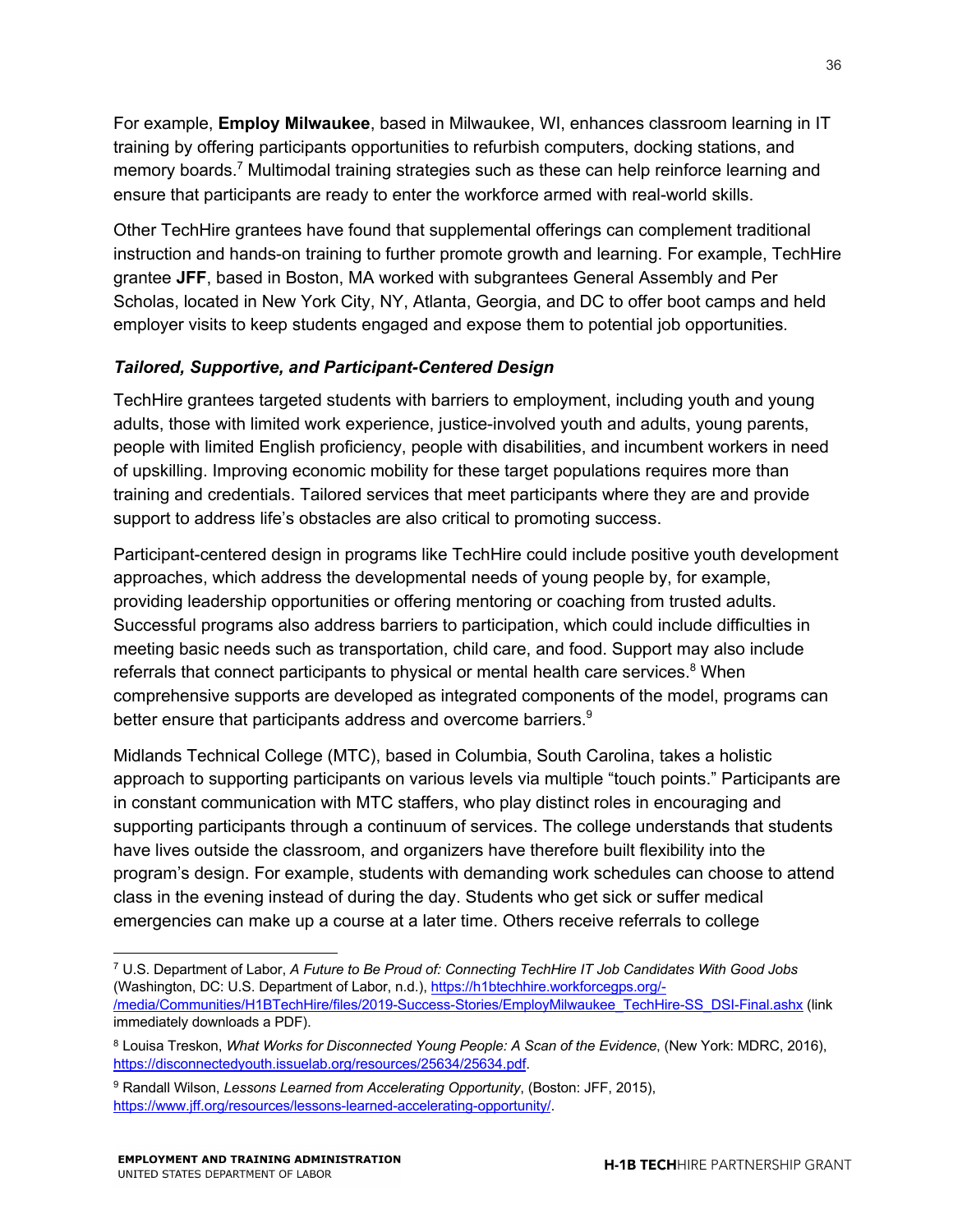For example, **Employ Milwaukee**, based in Milwaukee, WI, enhances classroom learning in IT training by offering participants opportunities to refurbish computers, docking stations, and memory boards.<sup>7</sup> Multimodal training strategies such as these can help reinforce learning and ensure that participants are ready to enter the workforce armed with real-world skills.

Other TechHire grantees have found that supplemental offerings can complement traditional instruction and hands-on training to further promote growth and learning. For example, TechHire grantee **JFF**, based in Boston, MA worked with subgrantees General Assembly and Per Scholas, located in New York City, NY, Atlanta, Georgia, and DC to offer boot camps and held employer visits to keep students engaged and expose them to potential job opportunities*.*

#### *Tailored, Supportive, and Participant-Centered Design*

TechHire grantees targeted students with barriers to employment, including youth and young adults, those with limited work experience, justice-involved youth and adults, young parents, people with limited English proficiency, people with disabilities, and incumbent workers in need of upskilling. Improving economic mobility for these target populations requires more than training and credentials. Tailored services that meet participants where they are and provide support to address life's obstacles are also critical to promoting success.

Participant-centered design in programs like TechHire could include positive youth development approaches, which address the developmental needs of young people by, for example, providing leadership opportunities or offering mentoring or coaching from trusted adults. Successful programs also address barriers to participation, which could include difficulties in meeting basic needs such as transportation, child care, and food. Support may also include referrals that connect participants to physical or mental health care services.<sup>8</sup> When comprehensive supports are developed as integrated components of the model, programs can better ensure that participants address and overcome barriers.<sup>9</sup>

Midlands Technical College (MTC), based in Columbia, South Carolina, takes a holistic approach to supporting participants on various levels via multiple "touch points." Participants are in constant communication with MTC staffers, who play distinct roles in encouraging and supporting participants through a continuum of services. The college understands that students have lives outside the classroom, and organizers have therefore built flexibility into the program's design. For example, students with demanding work schedules can choose to attend class in the evening instead of during the day. Students who get sick or suffer medical emergencies can make up a course at a later time. Others receive referrals to college

<sup>7</sup> U.S. Department of Labor, *A Future to Be Proud of: Connecting TechHire IT Job Candidates With Good Jobs* (Washington, DC: U.S. Department of Labor, n.d.), https://h1btechhire.workforcegps.org/- /media/Communities/H1BTechHire/files/2019-Success-Stories/EmployMilwaukee\_TechHire-SS\_DSI-Final.ashx (link immediately downloads a PDF).

<sup>8</sup> Louisa Treskon, *What Works for Disconnected Young People: A Scan of the Evidence*, (New York: MDRC, 2016), https://disconnectedyouth.issuelab.org/resources/25634/25634.pdf.

<sup>9</sup> Randall Wilson, *Lessons Learned from Accelerating Opportunity*, (Boston: JFF, 2015), https://www.jff.org/resources/lessons-learned-accelerating-opportunity/.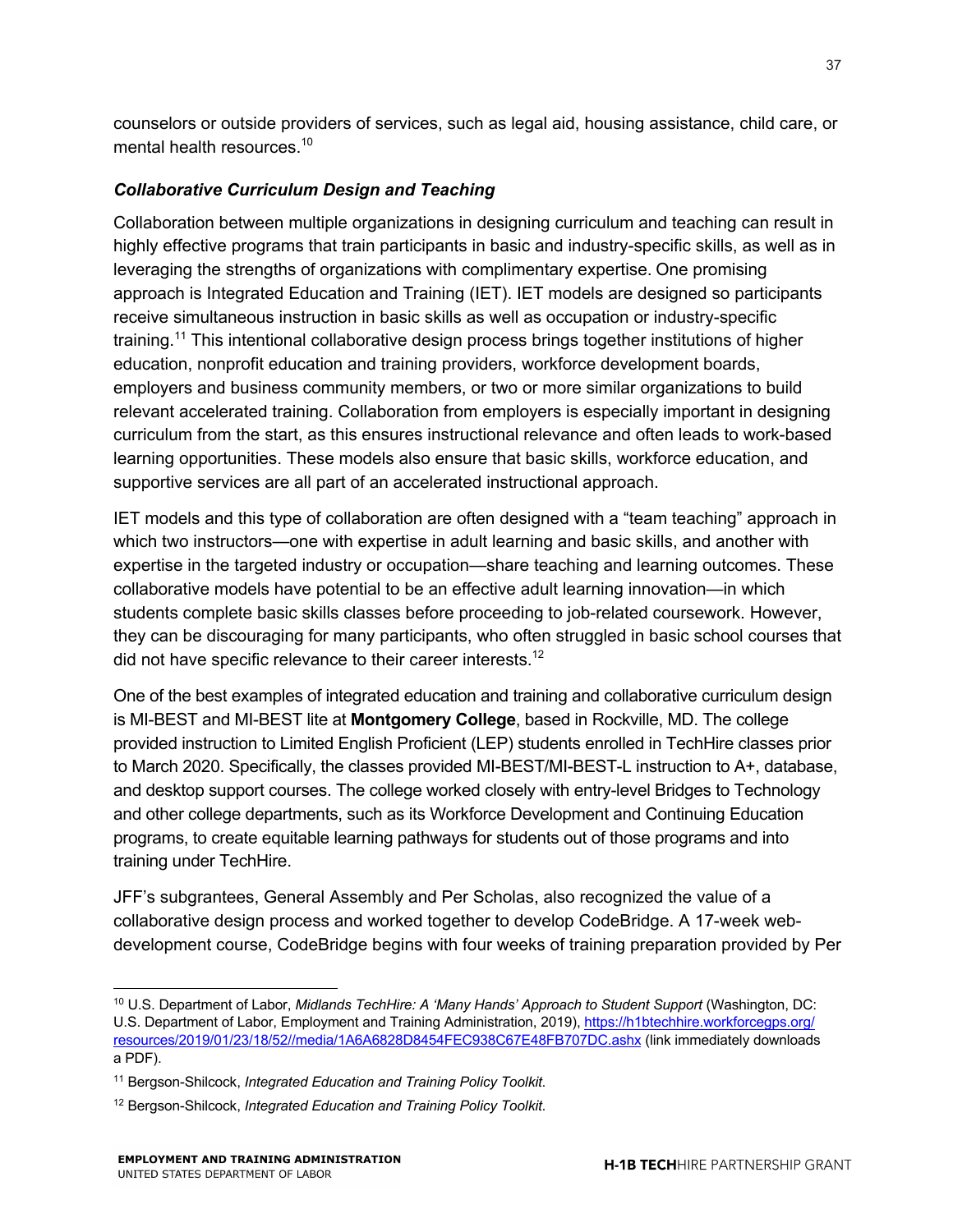counselors or outside providers of services, such as legal aid, housing assistance, child care, or mental health resources.<sup>10</sup>

#### *Collaborative Curriculum Design and Teaching*

Collaboration between multiple organizations in designing curriculum and teaching can result in highly effective programs that train participants in basic and industry-specific skills, as well as in leveraging the strengths of organizations with complimentary expertise. One promising approach is Integrated Education and Training (IET). IET models are designed so participants receive simultaneous instruction in basic skills as well as occupation or industry-specific training.11 This intentional collaborative design process brings together institutions of higher education, nonprofit education and training providers, workforce development boards, employers and business community members, or two or more similar organizations to build relevant accelerated training. Collaboration from employers is especially important in designing curriculum from the start, as this ensures instructional relevance and often leads to work-based learning opportunities. These models also ensure that basic skills, workforce education, and supportive services are all part of an accelerated instructional approach.

IET models and this type of collaboration are often designed with a "team teaching" approach in which two instructors—one with expertise in adult learning and basic skills, and another with expertise in the targeted industry or occupation—share teaching and learning outcomes. These collaborative models have potential to be an effective adult learning innovation—in which students complete basic skills classes before proceeding to job-related coursework. However, they can be discouraging for many participants, who often struggled in basic school courses that did not have specific relevance to their career interests.<sup>12</sup>

One of the best examples of integrated education and training and collaborative curriculum design is MI-BEST and MI-BEST lite at **Montgomery College**, based in Rockville, MD. The college provided instruction to Limited English Proficient (LEP) students enrolled in TechHire classes prior to March 2020. Specifically, the classes provided MI-BEST/MI-BEST-L instruction to A+, database, and desktop support courses. The college worked closely with entry-level Bridges to Technology and other college departments, such as its Workforce Development and Continuing Education programs, to create equitable learning pathways for students out of those programs and into training under TechHire.

JFF's subgrantees, General Assembly and Per Scholas, also recognized the value of a collaborative design process and worked together to develop CodeBridge. A 17-week webdevelopment course, CodeBridge begins with four weeks of training preparation provided by Per

<sup>10</sup> U.S. Department of Labor, *Midlands TechHire: A 'Many Hands' Approach to Student Support* (Washington, DC: U.S. Department of Labor, Employment and Training Administration, 2019), https://h1btechhire.workforcegps.org/ resources/2019/01/23/18/52//media/1A6A6828D8454FEC938C67E48FB707DC.ashx (link immediately downloads a PDF).

<sup>11</sup> Bergson-Shilcock, *Integrated Education and Training Policy Toolkit*.

<sup>12</sup> Bergson-Shilcock, *Integrated Education and Training Policy Toolkit*.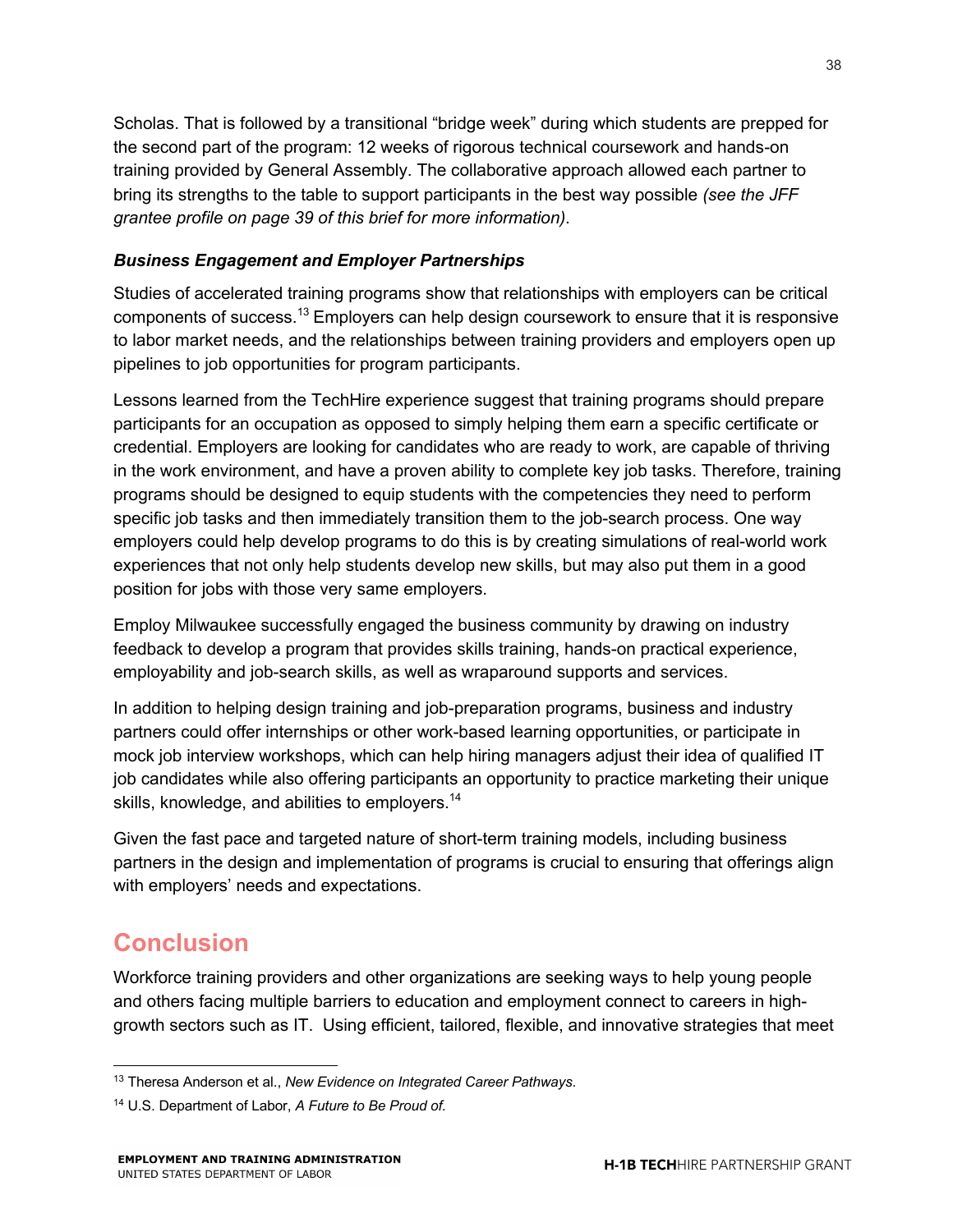Scholas. That is followed by a transitional "bridge week" during which students are prepped for the second part of the program: 12 weeks of rigorous technical coursework and hands-on training provided by General Assembly. The collaborative approach allowed each partner to bring its strengths to the table to support participants in the best way possible *(see the JFF grantee profile on page 39 of this brief for more information)*.

#### *Business Engagement and Employer Partnerships*

Studies of accelerated training programs show that relationships with employers can be critical components of success.<sup>13</sup> Employers can help design coursework to ensure that it is responsive to labor market needs, and the relationships between training providers and employers open up pipelines to job opportunities for program participants.

Lessons learned from the TechHire experience suggest that training programs should prepare participants for an occupation as opposed to simply helping them earn a specific certificate or credential. Employers are looking for candidates who are ready to work, are capable of thriving in the work environment, and have a proven ability to complete key job tasks. Therefore, training programs should be designed to equip students with the competencies they need to perform specific job tasks and then immediately transition them to the job-search process. One way employers could help develop programs to do this is by creating simulations of real-world work experiences that not only help students develop new skills, but may also put them in a good position for jobs with those very same employers.

Employ Milwaukee successfully engaged the business community by drawing on industry feedback to develop a program that provides skills training, hands-on practical experience, employability and job-search skills, as well as wraparound supports and services.

In addition to helping design training and job-preparation programs, business and industry partners could offer internships or other work-based learning opportunities, or participate in mock job interview workshops, which can help hiring managers adjust their idea of qualified IT job candidates while also offering participants an opportunity to practice marketing their unique skills, knowledge, and abilities to employers.<sup>14</sup>

Given the fast pace and targeted nature of short-term training models, including business partners in the design and implementation of programs is crucial to ensuring that offerings align with employers' needs and expectations.

# **Conclusion**

Workforce training providers and other organizations are seeking ways to help young people and others facing multiple barriers to education and employment connect to careers in highgrowth sectors such as IT. Using efficient, tailored, flexible, and innovative strategies that meet

<sup>13</sup> Theresa Anderson et al., *New Evidence on Integrated Career Pathways*.

<sup>14</sup> U.S. Department of Labor, *A Future to Be Proud of.*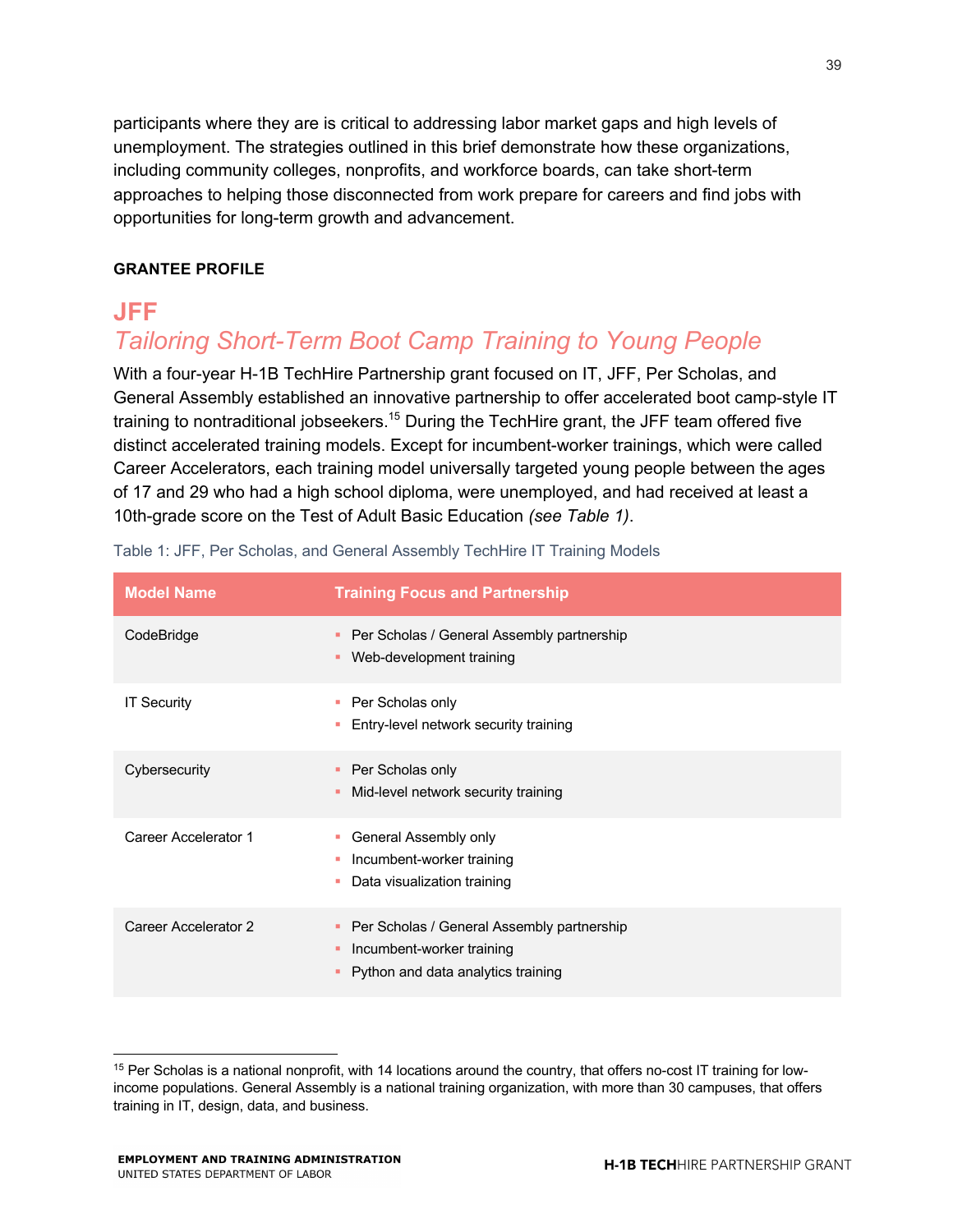participants where they are is critical to addressing labor market gaps and high levels of unemployment. The strategies outlined in this brief demonstrate how these organizations, including community colleges, nonprofits, and workforce boards, can take short-term approaches to helping those disconnected from work prepare for careers and find jobs with opportunities for long-term growth and advancement.

#### **GRANTEE PROFILE**

# **JFF** *Tailoring Short-Term Boot Camp Training to Young People*

With a four-year H-1B TechHire Partnership grant focused on IT, JFF, Per Scholas, and General Assembly established an innovative partnership to offer accelerated boot camp-style IT training to nontraditional jobseekers.<sup>15</sup> During the TechHire grant, the JFF team offered five distinct accelerated training models. Except for incumbent-worker trainings, which were called Career Accelerators, each training model universally targeted young people between the ages of 17 and 29 who had a high school diploma, were unemployed, and had received at least a 10th-grade score on the Test of Adult Basic Education *(see Table 1)*.

| <b>Model Name</b>    | <b>Training Focus and Partnership</b>                                                                         |
|----------------------|---------------------------------------------------------------------------------------------------------------|
| CodeBridge           | Per Scholas / General Assembly partnership<br>Web-development training                                        |
| <b>IT Security</b>   | Per Scholas only<br>Entry-level network security training                                                     |
| Cybersecurity        | Per Scholas only<br>Mid-level network security training                                                       |
| Career Accelerator 1 | General Assembly only<br>Incumbent-worker training<br>Data visualization training<br>ш                        |
| Career Accelerator 2 | Per Scholas / General Assembly partnership<br>Incumbent-worker training<br>Python and data analytics training |

Table 1: JFF, Per Scholas, and General Assembly TechHire IT Training Models

 $15$  Per Scholas is a national nonprofit, with 14 locations around the country, that offers no-cost IT training for lowincome populations. General Assembly is a national training organization, with more than 30 campuses, that offers training in IT, design, data, and business.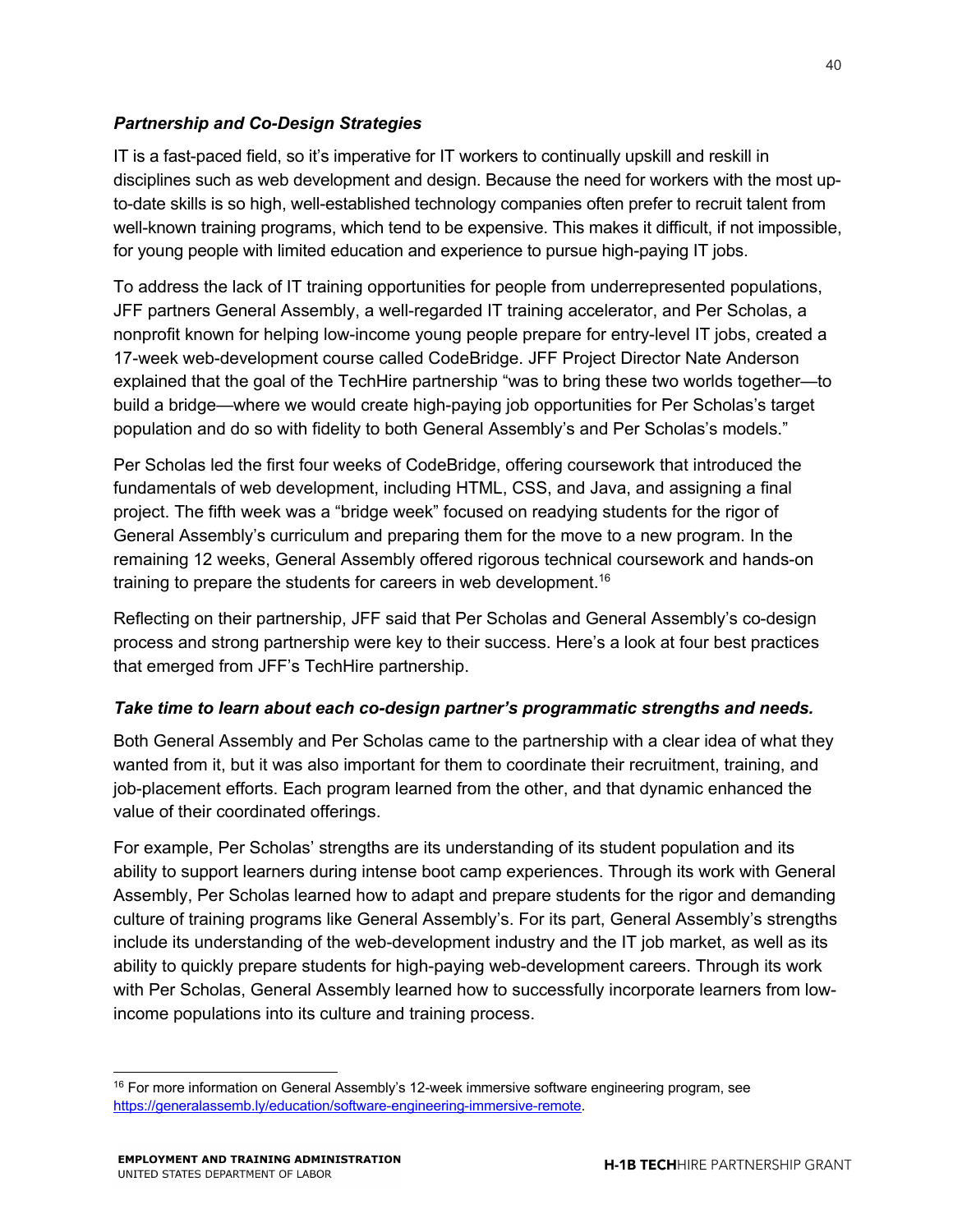#### *Partnership and Co-Design Strategies*

IT is a fast-paced field, so it's imperative for IT workers to continually upskill and reskill in disciplines such as web development and design. Because the need for workers with the most upto-date skills is so high, well-established technology companies often prefer to recruit talent from well-known training programs, which tend to be expensive. This makes it difficult, if not impossible, for young people with limited education and experience to pursue high-paying IT jobs.

To address the lack of IT training opportunities for people from underrepresented populations, JFF partners General Assembly, a well-regarded IT training accelerator, and Per Scholas, a nonprofit known for helping low-income young people prepare for entry-level IT jobs, created a 17-week web-development course called CodeBridge. JFF Project Director Nate Anderson explained that the goal of the TechHire partnership "was to bring these two worlds together—to build a bridge—where we would create high-paying job opportunities for Per Scholas's target population and do so with fidelity to both General Assembly's and Per Scholas's models."

Per Scholas led the first four weeks of CodeBridge, offering coursework that introduced the fundamentals of web development, including HTML, CSS, and Java, and assigning a final project. The fifth week was a "bridge week" focused on readying students for the rigor of General Assembly's curriculum and preparing them for the move to a new program. In the remaining 12 weeks, General Assembly offered rigorous technical coursework and hands-on training to prepare the students for careers in web development.<sup>16</sup>

Reflecting on their partnership, JFF said that Per Scholas and General Assembly's co-design process and strong partnership were key to their success. Here's a look at four best practices that emerged from JFF's TechHire partnership.

#### *Take time to learn about each co-design partner's programmatic strengths and needs.*

Both General Assembly and Per Scholas came to the partnership with a clear idea of what they wanted from it, but it was also important for them to coordinate their recruitment, training, and job-placement efforts. Each program learned from the other, and that dynamic enhanced the value of their coordinated offerings.

For example, Per Scholas' strengths are its understanding of its student population and its ability to support learners during intense boot camp experiences. Through its work with General Assembly, Per Scholas learned how to adapt and prepare students for the rigor and demanding culture of training programs like General Assembly's. For its part, General Assembly's strengths include its understanding of the web-development industry and the IT job market, as well as its ability to quickly prepare students for high-paying web-development careers. Through its work with Per Scholas, General Assembly learned how to successfully incorporate learners from lowincome populations into its culture and training process.

<sup>&</sup>lt;sup>16</sup> For more information on General Assembly's 12-week immersive software engineering program, see https://generalassemb.ly/education/software-engineering-immersive-remote.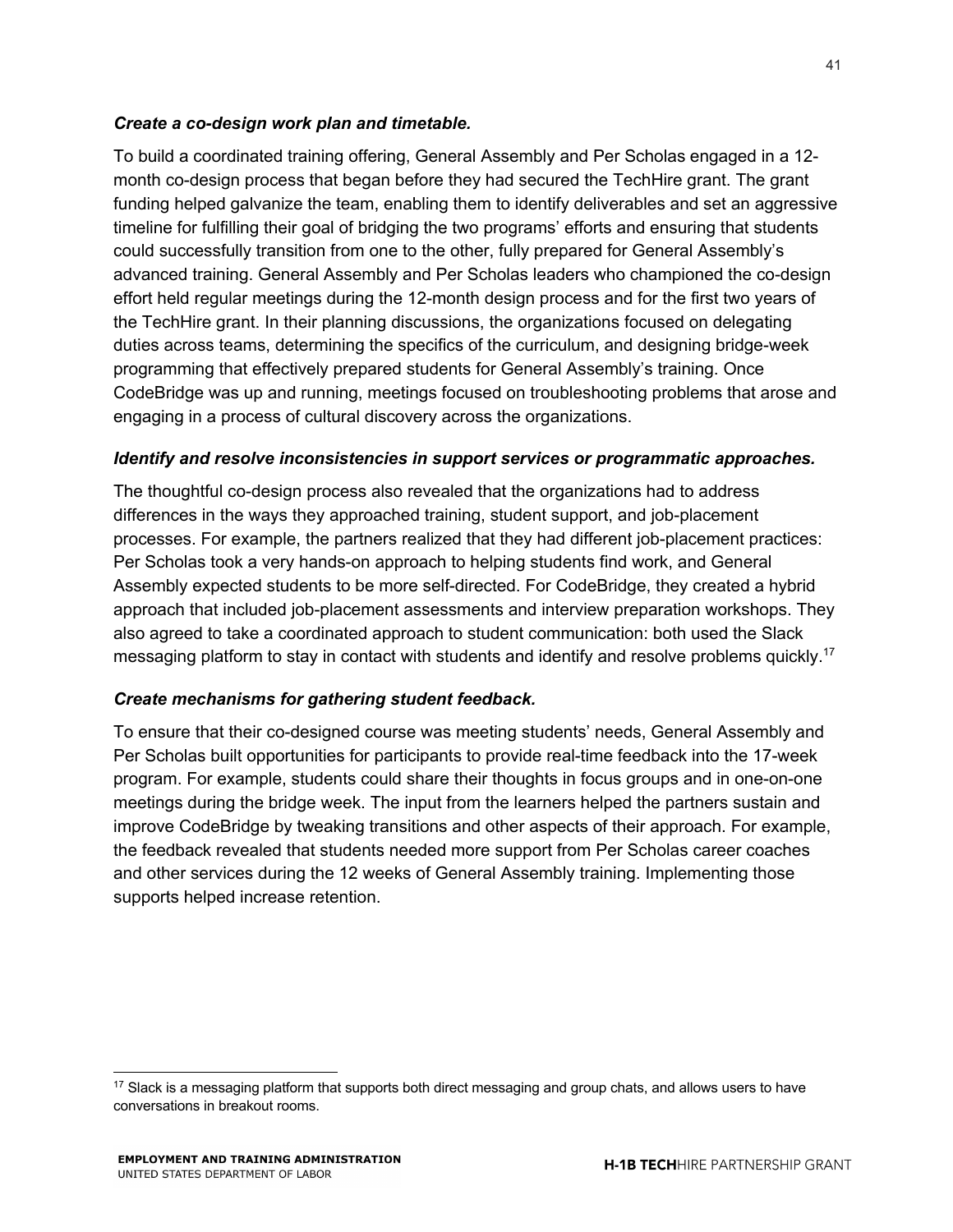#### *Create a co-design work plan and timetable.*

To build a coordinated training offering, General Assembly and Per Scholas engaged in a 12 month co-design process that began before they had secured the TechHire grant. The grant funding helped galvanize the team, enabling them to identify deliverables and set an aggressive timeline for fulfilling their goal of bridging the two programs' efforts and ensuring that students could successfully transition from one to the other, fully prepared for General Assembly's advanced training. General Assembly and Per Scholas leaders who championed the co-design effort held regular meetings during the 12-month design process and for the first two years of the TechHire grant. In their planning discussions, the organizations focused on delegating duties across teams, determining the specifics of the curriculum, and designing bridge-week programming that effectively prepared students for General Assembly's training. Once CodeBridge was up and running, meetings focused on troubleshooting problems that arose and engaging in a process of cultural discovery across the organizations.

#### *Identify and resolve inconsistencies in support services or programmatic approaches.*

The thoughtful co-design process also revealed that the organizations had to address differences in the ways they approached training, student support, and job-placement processes. For example, the partners realized that they had different job-placement practices: Per Scholas took a very hands-on approach to helping students find work, and General Assembly expected students to be more self-directed. For CodeBridge, they created a hybrid approach that included job-placement assessments and interview preparation workshops. They also agreed to take a coordinated approach to student communication: both used the Slack messaging platform to stay in contact with students and identify and resolve problems quickly.<sup>17</sup>

#### *Create mechanisms for gathering student feedback.*

To ensure that their co-designed course was meeting students' needs, General Assembly and Per Scholas built opportunities for participants to provide real-time feedback into the 17-week program. For example, students could share their thoughts in focus groups and in one-on-one meetings during the bridge week. The input from the learners helped the partners sustain and improve CodeBridge by tweaking transitions and other aspects of their approach. For example, the feedback revealed that students needed more support from Per Scholas career coaches and other services during the 12 weeks of General Assembly training. Implementing those supports helped increase retention.

<sup>&</sup>lt;sup>17</sup> Slack is a messaging platform that supports both direct messaging and group chats, and allows users to have conversations in breakout rooms.